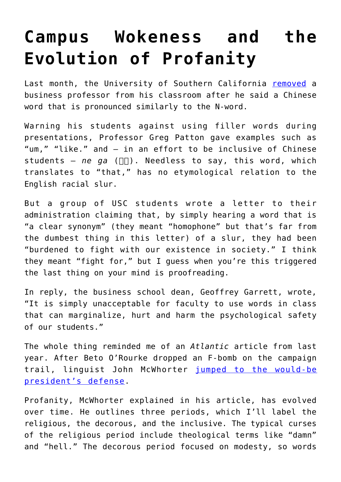## **[Campus Wokeness and the](https://intellectualtakeout.org/2020/10/campus-wokeness-and-the-evolution-of-profanity/) [Evolution of Profanity](https://intellectualtakeout.org/2020/10/campus-wokeness-and-the-evolution-of-profanity/)**

Last month, the University of Southern California [removed](https://www.insidehighered.com/news/2020/09/08/professor-suspended-saying-chinese-word-sounds-english-slur) a business professor from his classroom after he said a Chinese word that is pronounced similarly to the N-word.

Warning his students against using filler words during presentations, Professor Greg Patton gave examples such as "um," "like." and – in an effort to be inclusive of Chinese students  $-$  *ne ga* ( $\Pi$ ). Needless to say, this word, which translates to "that," has no etymological relation to the English racial slur.

But a group of USC students wrote a letter to their administration claiming that, by simply hearing a word that is "a clear synonym" (they meant "homophone" but that's far from the dumbest thing in this letter) of a slur, they had been "burdened to fight with our existence in society." I think they meant "fight for," but I guess when you're this triggered the last thing on your mind is proofreading.

In reply, the business school dean, Geoffrey Garrett, wrote, "It is simply unacceptable for faculty to use words in class that can marginalize, hurt and harm the psychological safety of our students."

The whole thing reminded me of an *Atlantic* article from last year. After Beto O'Rourke dropped an F-bomb on the campaign trail, linguist John McWhorter [jumped to the would-be](https://www.theatlantic.com/ideas/archive/2019/09/who-cares-beto-swore/597499/) [president's defense.](https://www.theatlantic.com/ideas/archive/2019/09/who-cares-beto-swore/597499/)

Profanity, McWhorter explained in his article, has evolved over time. He outlines three periods, which I'll label the religious, the decorous, and the inclusive. The typical curses of the religious period include theological terms like "damn" and "hell." The decorous period focused on modesty, so words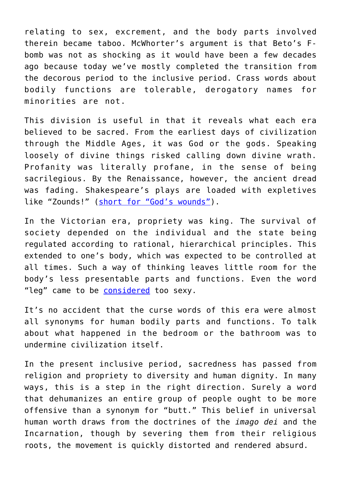relating to sex, excrement, and the body parts involved therein became taboo. McWhorter's argument is that Beto's Fbomb was not as shocking as it would have been a few decades ago because today we've mostly completed the transition from the decorous period to the inclusive period. Crass words about bodily functions are tolerable, derogatory names for minorities are not.

This division is useful in that it reveals what each era believed to be sacred. From the earliest days of civilization through the Middle Ages, it was God or the gods. Speaking loosely of divine things risked calling down divine wrath. Profanity was literally profane, in the sense of being sacrilegious. By the Renaissance, however, the ancient dread was fading. Shakespeare's plays are loaded with expletives like "Zounds!" ([short for "God's wounds"\)](https://www.merriam-webster.com/dictionary/zounds).

In the Victorian era, propriety was king. The survival of society depended on the individual and the state being regulated according to rational, hierarchical principles. This extended to one's body, which was expected to be controlled at all times. Such a way of thinking leaves little room for the body's less presentable parts and functions. Even the word "leg" came to be [considered](https://books.google.com/books?id=TOhEAAAAIAAJ&pg=PA154&lpg=PA154&dq=marryat+piano&source=bl&ots=7jEN9M44_M&sig=-0zDQ2HXp_b9CqotbFsXYml2eUY&hl=en&ei=PX22S83cHMGqlAeX7IHWAQ&sa=X&oi=book_result&ct=result&resnum=6&ved=0CBwQ6AEwBQ#v=onepage&q&f=false) too sexy.

It's no accident that the curse words of this era were almost all synonyms for human bodily parts and functions. To talk about what happened in the bedroom or the bathroom was to undermine civilization itself.

In the present inclusive period, sacredness has passed from religion and propriety to diversity and human dignity. In many ways, this is a step in the right direction. Surely a word that dehumanizes an entire group of people ought to be more offensive than a synonym for "butt." This belief in universal human worth draws from the doctrines of the *imago dei* and the Incarnation, though by severing them from their religious roots, the movement is quickly distorted and rendered absurd.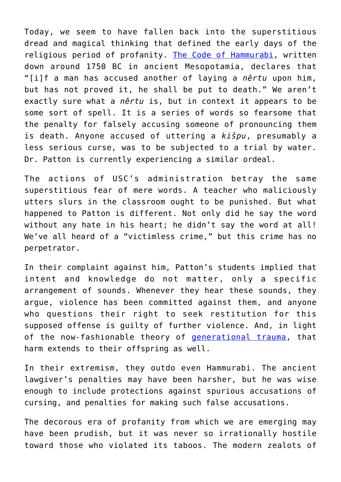Today, we seem to have fallen back into the superstitious dread and magical thinking that defined the early days of the religious period of profanity. [The Code of Hammurabi,](https://oll.libertyfund.org/pages/1750-the-code-of-hammurabi-johns-translation) written down around 1750 BC in ancient Mesopotamia, declares that "[i]f a man has accused another of laying a *nêrtu* upon him, but has not proved it, he shall be put to death." We aren't exactly sure what a *nêrtu* is, but in context it appears to be some sort of spell. It is a series of words so fearsome that the penalty for falsely accusing someone of pronouncing them is death. Anyone accused of uttering a *kišpu*, presumably a less serious curse, was to be subjected to a trial by water. Dr. Patton is currently experiencing a similar ordeal.

The actions of USC's administration betray the same superstitious fear of mere words. A teacher who maliciously utters slurs in the classroom ought to be punished. But what happened to Patton is different. Not only did he say the word without any hate in his heart; he didn't say the word at all! We've all heard of a "victimless crime," but this crime has no perpetrator.

In their complaint against him, Patton's students implied that intent and knowledge do not matter, only a specific arrangement of sounds. Whenever they hear these sounds, they argue, violence has been committed against them, and anyone who questions their right to seek restitution for this supposed offense is guilty of further violence. And, in light of the now-fashionable theory of **generational trauma**, that harm extends to their offspring as well.

In their extremism, they outdo even Hammurabi. The ancient lawgiver's penalties may have been harsher, but he was wise enough to include protections against spurious accusations of cursing, and penalties for making such false accusations.

The decorous era of profanity from which we are emerging may have been prudish, but it was never so irrationally hostile toward those who violated its taboos. The modern zealots of